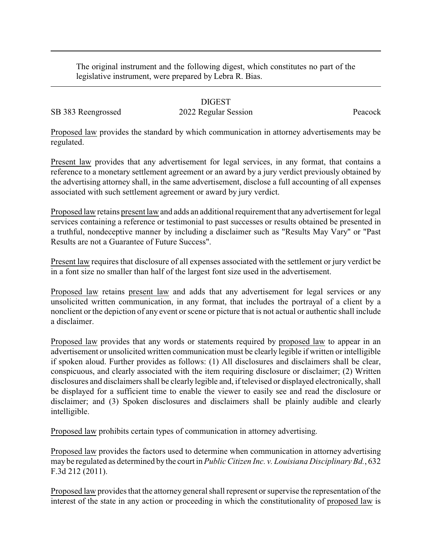The original instrument and the following digest, which constitutes no part of the legislative instrument, were prepared by Lebra R. Bias.

## DIGEST

SB 383 Reengrossed 2022 Regular Session Peacock

Proposed law provides the standard by which communication in attorney advertisements may be regulated.

Present law provides that any advertisement for legal services, in any format, that contains a reference to a monetary settlement agreement or an award by a jury verdict previously obtained by the advertising attorney shall, in the same advertisement, disclose a full accounting of all expenses associated with such settlement agreement or award by jury verdict.

Proposed law retains present law and adds an additional requirement that any advertisement for legal services containing a reference or testimonial to past successes or results obtained be presented in a truthful, nondeceptive manner by including a disclaimer such as "Results May Vary" or "Past Results are not a Guarantee of Future Success".

Present law requires that disclosure of all expenses associated with the settlement or jury verdict be in a font size no smaller than half of the largest font size used in the advertisement.

Proposed law retains present law and adds that any advertisement for legal services or any unsolicited written communication, in any format, that includes the portrayal of a client by a nonclient or the depiction of any event or scene or picture that is not actual or authentic shall include a disclaimer.

Proposed law provides that any words or statements required by proposed law to appear in an advertisement or unsolicited written communication must be clearly legible if written or intelligible if spoken aloud. Further provides as follows: (1) All disclosures and disclaimers shall be clear, conspicuous, and clearly associated with the item requiring disclosure or disclaimer; (2) Written disclosures and disclaimers shall be clearly legible and, if televised or displayed electronically, shall be displayed for a sufficient time to enable the viewer to easily see and read the disclosure or disclaimer; and (3) Spoken disclosures and disclaimers shall be plainly audible and clearly intelligible.

Proposed law prohibits certain types of communication in attorney advertising.

Proposed law provides the factors used to determine when communication in attorney advertising may be regulated as determined by the court in *Public Citizen Inc. v. Louisiana Disciplinary Bd.*, 632 F.3d 212 (2011).

Proposed law provides that the attorney general shall represent or supervise the representation of the interest of the state in any action or proceeding in which the constitutionality of proposed law is